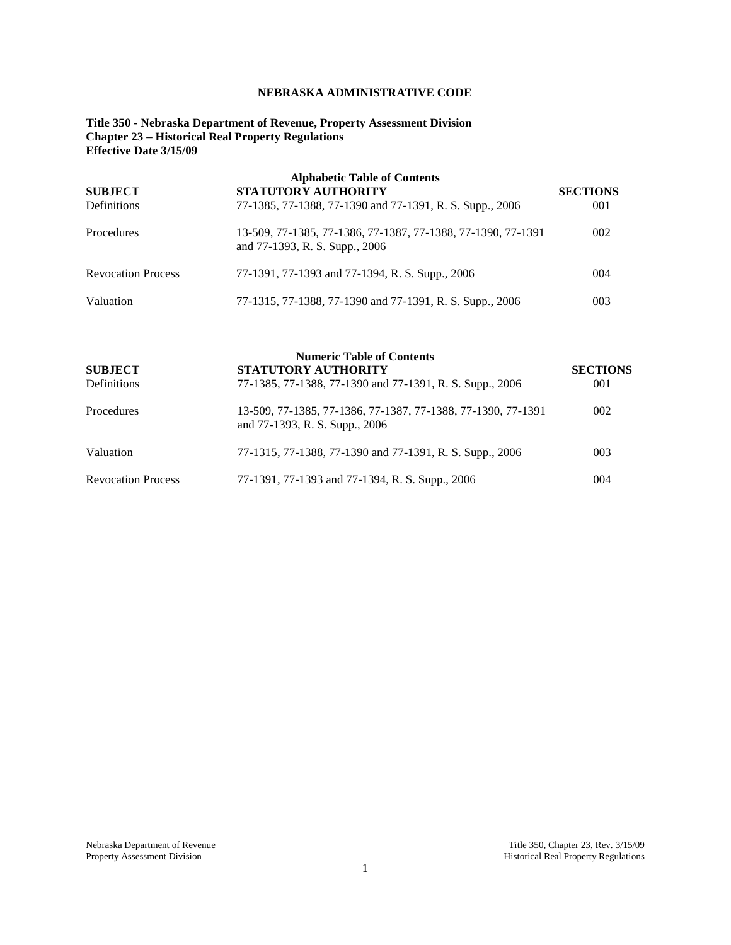# **NEBRASKA ADMINISTRATIVE CODE**

**Title 350 - Nebraska Department of Revenue, Property Assessment Division Chapter 23 – Historical Real Property Regulations Effective Date 3/15/09**

| <b>Alphabetic Table of Contents</b> |                                                                                                |                 |  |
|-------------------------------------|------------------------------------------------------------------------------------------------|-----------------|--|
| <b>SUBJECT</b>                      | STATUTORY AUTHORITY                                                                            | <b>SECTIONS</b> |  |
| Definitions                         | 77-1385, 77-1388, 77-1390 and 77-1391, R. S. Supp., 2006                                       | 001             |  |
| Procedures                          | 13-509, 77-1385, 77-1386, 77-1387, 77-1388, 77-1390, 77-1391<br>and 77-1393, R. S. Supp., 2006 | 002             |  |
| <b>Revocation Process</b>           | 77-1391, 77-1393 and 77-1394, R. S. Supp., 2006                                                | 004             |  |
| Valuation                           | 77-1315, 77-1388, 77-1390 and 77-1391, R. S. Supp., 2006                                       | 003             |  |

| <b>SUBJECT</b><br>Definitions | <b>Numeric Table of Contents</b><br><b>STATUTORY AUTHORITY</b><br>77-1385, 77-1388, 77-1390 and 77-1391, R. S. Supp., 2006 | <b>SECTIONS</b><br>001 |
|-------------------------------|----------------------------------------------------------------------------------------------------------------------------|------------------------|
| Procedures                    | 13-509, 77-1385, 77-1386, 77-1387, 77-1388, 77-1390, 77-1391<br>and 77-1393, R. S. Supp., 2006                             | 002                    |
| Valuation                     | 77-1315, 77-1388, 77-1390 and 77-1391, R. S. Supp., 2006                                                                   | 003                    |
| <b>Revocation Process</b>     | 77-1391, 77-1393 and 77-1394, R. S. Supp., 2006                                                                            | 004                    |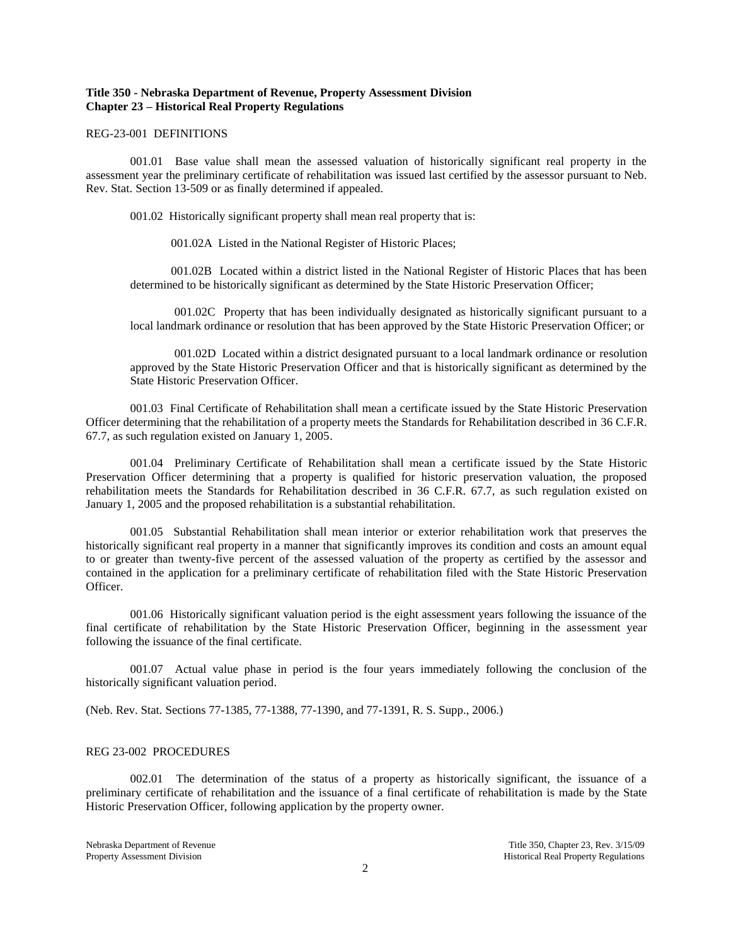## **Title 350 - Nebraska Department of Revenue, Property Assessment Division Chapter 23 – Historical Real Property Regulations**

#### REG-23-001 DEFINITIONS

001.01 Base value shall mean the assessed valuation of historically significant real property in the assessment year the preliminary certificate of rehabilitation was issued last certified by the assessor pursuant to Neb. Rev. Stat. Section 13-509 or as finally determined if appealed.

001.02 Historically significant property shall mean real property that is:

001.02A Listed in the National Register of Historic Places;

001.02B Located within a district listed in the National Register of Historic Places that has been determined to be historically significant as determined by the State Historic Preservation Officer;

001.02C Property that has been individually designated as historically significant pursuant to a local landmark ordinance or resolution that has been approved by the State Historic Preservation Officer; or

001.02D Located within a district designated pursuant to a local landmark ordinance or resolution approved by the State Historic Preservation Officer and that is historically significant as determined by the State Historic Preservation Officer.

001.03 Final Certificate of Rehabilitation shall mean a certificate issued by the State Historic Preservation Officer determining that the rehabilitation of a property meets the Standards for Rehabilitation described in 36 C.F.R. 67.7, as such regulation existed on January 1, 2005.

001.04 Preliminary Certificate of Rehabilitation shall mean a certificate issued by the State Historic Preservation Officer determining that a property is qualified for historic preservation valuation, the proposed rehabilitation meets the Standards for Rehabilitation described in 36 C.F.R. 67.7, as such regulation existed on January 1, 2005 and the proposed rehabilitation is a substantial rehabilitation.

001.05 Substantial Rehabilitation shall mean interior or exterior rehabilitation work that preserves the historically significant real property in a manner that significantly improves its condition and costs an amount equal to or greater than twenty-five percent of the assessed valuation of the property as certified by the assessor and contained in the application for a preliminary certificate of rehabilitation filed with the State Historic Preservation Officer.

001.06 Historically significant valuation period is the eight assessment years following the issuance of the final certificate of rehabilitation by the State Historic Preservation Officer, beginning in the assessment year following the issuance of the final certificate.

001.07 Actual value phase in period is the four years immediately following the conclusion of the historically significant valuation period.

(Neb. Rev. Stat. Sections 77-1385, 77-1388, 77-1390, and 77-1391, R. S. Supp., 2006.)

### REG 23-002 PROCEDURES

002.01 The determination of the status of a property as historically significant, the issuance of a preliminary certificate of rehabilitation and the issuance of a final certificate of rehabilitation is made by the State Historic Preservation Officer, following application by the property owner.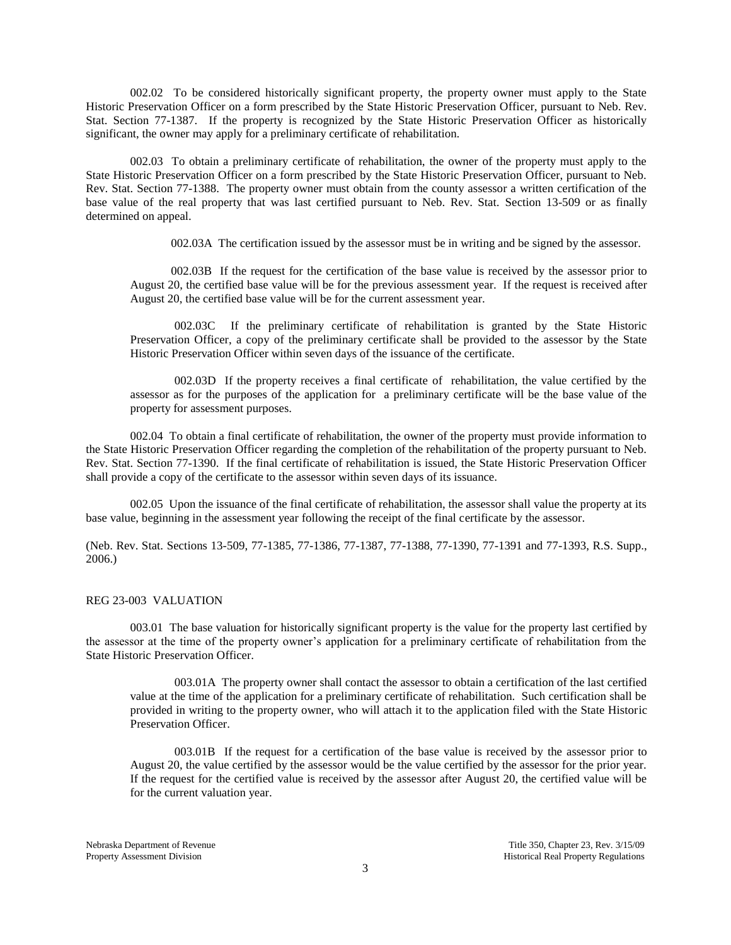002.02 To be considered historically significant property, the property owner must apply to the State Historic Preservation Officer on a form prescribed by the State Historic Preservation Officer, pursuant to Neb. Rev. Stat. Section 77-1387. If the property is recognized by the State Historic Preservation Officer as historically significant, the owner may apply for a preliminary certificate of rehabilitation.

002.03 To obtain a preliminary certificate of rehabilitation, the owner of the property must apply to the State Historic Preservation Officer on a form prescribed by the State Historic Preservation Officer, pursuant to Neb. Rev. Stat. Section 77-1388. The property owner must obtain from the county assessor a written certification of the base value of the real property that was last certified pursuant to Neb. Rev. Stat. Section 13-509 or as finally determined on appeal.

002.03A The certification issued by the assessor must be in writing and be signed by the assessor.

002.03B If the request for the certification of the base value is received by the assessor prior to August 20, the certified base value will be for the previous assessment year. If the request is received after August 20, the certified base value will be for the current assessment year.

002.03C If the preliminary certificate of rehabilitation is granted by the State Historic Preservation Officer, a copy of the preliminary certificate shall be provided to the assessor by the State Historic Preservation Officer within seven days of the issuance of the certificate.

002.03D If the property receives a final certificate of rehabilitation, the value certified by the assessor as for the purposes of the application for a preliminary certificate will be the base value of the property for assessment purposes.

002.04 To obtain a final certificate of rehabilitation, the owner of the property must provide information to the State Historic Preservation Officer regarding the completion of the rehabilitation of the property pursuant to Neb. Rev. Stat. Section 77-1390. If the final certificate of rehabilitation is issued, the State Historic Preservation Officer shall provide a copy of the certificate to the assessor within seven days of its issuance.

002.05 Upon the issuance of the final certificate of rehabilitation, the assessor shall value the property at its base value, beginning in the assessment year following the receipt of the final certificate by the assessor.

(Neb. Rev. Stat. Sections 13-509, 77-1385, 77-1386, 77-1387, 77-1388, 77-1390, 77-1391 and 77-1393, R.S. Supp., 2006.)

#### REG 23-003 VALUATION

003.01 The base valuation for historically significant property is the value for the property last certified by the assessor at the time of the property owner's application for a preliminary certificate of rehabilitation from the State Historic Preservation Officer.

003.01A The property owner shall contact the assessor to obtain a certification of the last certified value at the time of the application for a preliminary certificate of rehabilitation. Such certification shall be provided in writing to the property owner, who will attach it to the application filed with the State Historic Preservation Officer.

003.01B If the request for a certification of the base value is received by the assessor prior to August 20, the value certified by the assessor would be the value certified by the assessor for the prior year. If the request for the certified value is received by the assessor after August 20, the certified value will be for the current valuation year.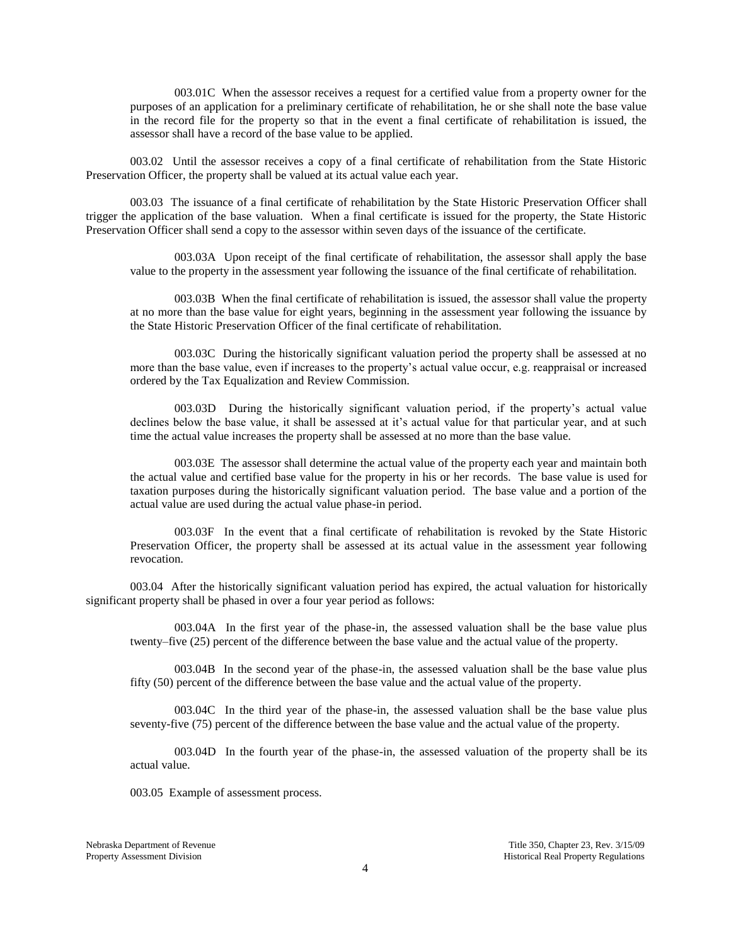003.01C When the assessor receives a request for a certified value from a property owner for the purposes of an application for a preliminary certificate of rehabilitation, he or she shall note the base value in the record file for the property so that in the event a final certificate of rehabilitation is issued, the assessor shall have a record of the base value to be applied.

003.02 Until the assessor receives a copy of a final certificate of rehabilitation from the State Historic Preservation Officer, the property shall be valued at its actual value each year.

003.03 The issuance of a final certificate of rehabilitation by the State Historic Preservation Officer shall trigger the application of the base valuation. When a final certificate is issued for the property, the State Historic Preservation Officer shall send a copy to the assessor within seven days of the issuance of the certificate.

003.03A Upon receipt of the final certificate of rehabilitation, the assessor shall apply the base value to the property in the assessment year following the issuance of the final certificate of rehabilitation.

003.03B When the final certificate of rehabilitation is issued, the assessor shall value the property at no more than the base value for eight years, beginning in the assessment year following the issuance by the State Historic Preservation Officer of the final certificate of rehabilitation.

003.03C During the historically significant valuation period the property shall be assessed at no more than the base value, even if increases to the property's actual value occur, e.g. reappraisal or increased ordered by the Tax Equalization and Review Commission.

003.03D During the historically significant valuation period, if the property's actual value declines below the base value, it shall be assessed at it's actual value for that particular year, and at such time the actual value increases the property shall be assessed at no more than the base value.

003.03E The assessor shall determine the actual value of the property each year and maintain both the actual value and certified base value for the property in his or her records. The base value is used for taxation purposes during the historically significant valuation period. The base value and a portion of the actual value are used during the actual value phase-in period.

003.03F In the event that a final certificate of rehabilitation is revoked by the State Historic Preservation Officer, the property shall be assessed at its actual value in the assessment year following revocation.

003.04 After the historically significant valuation period has expired, the actual valuation for historically significant property shall be phased in over a four year period as follows:

003.04A In the first year of the phase-in, the assessed valuation shall be the base value plus twenty–five (25) percent of the difference between the base value and the actual value of the property.

003.04B In the second year of the phase-in, the assessed valuation shall be the base value plus fifty (50) percent of the difference between the base value and the actual value of the property.

003.04C In the third year of the phase-in, the assessed valuation shall be the base value plus seventy-five (75) percent of the difference between the base value and the actual value of the property.

003.04D In the fourth year of the phase-in, the assessed valuation of the property shall be its actual value.

003.05 Example of assessment process.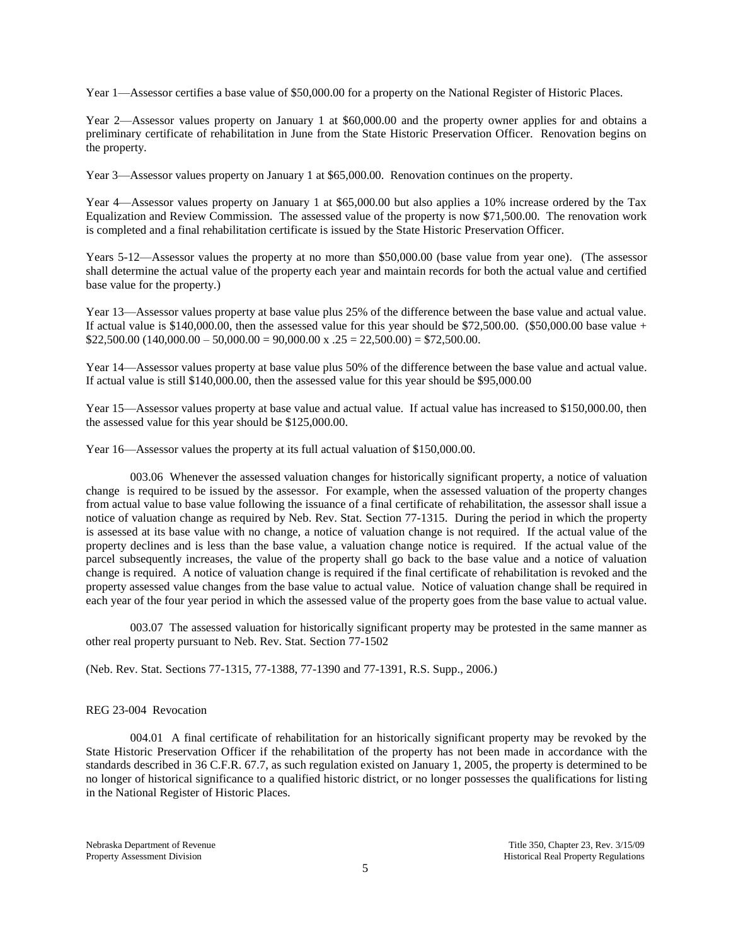Year 1—Assessor certifies a base value of \$50,000.00 for a property on the National Register of Historic Places.

Year 2—Assessor values property on January 1 at \$60,000.00 and the property owner applies for and obtains a preliminary certificate of rehabilitation in June from the State Historic Preservation Officer. Renovation begins on the property.

Year 3—Assessor values property on January 1 at \$65,000.00. Renovation continues on the property.

Year 4—Assessor values property on January 1 at \$65,000.00 but also applies a 10% increase ordered by the Tax Equalization and Review Commission. The assessed value of the property is now \$71,500.00. The renovation work is completed and a final rehabilitation certificate is issued by the State Historic Preservation Officer.

Years 5-12—Assessor values the property at no more than \$50,000.00 (base value from year one). (The assessor shall determine the actual value of the property each year and maintain records for both the actual value and certified base value for the property.)

Year 13—Assessor values property at base value plus 25% of the difference between the base value and actual value. If actual value is  $$140,000.00$ , then the assessed value for this year should be  $$72,500.00$ . (\$50,000.00 base value +  $$22,500.00 (140,000.00 - 50,000.00 = 90,000.00 \times .25 = 22,500.00) = $72,500.00.$ 

Year 14—Assessor values property at base value plus 50% of the difference between the base value and actual value. If actual value is still \$140,000.00, then the assessed value for this year should be \$95,000.00

Year 15—Assessor values property at base value and actual value. If actual value has increased to \$150,000.00, then the assessed value for this year should be \$125,000.00.

Year 16—Assessor values the property at its full actual valuation of \$150,000.00.

003.06 Whenever the assessed valuation changes for historically significant property, a notice of valuation change is required to be issued by the assessor. For example, when the assessed valuation of the property changes from actual value to base value following the issuance of a final certificate of rehabilitation, the assessor shall issue a notice of valuation change as required by Neb. Rev. Stat. Section 77-1315. During the period in which the property is assessed at its base value with no change, a notice of valuation change is not required. If the actual value of the property declines and is less than the base value, a valuation change notice is required. If the actual value of the parcel subsequently increases, the value of the property shall go back to the base value and a notice of valuation change is required. A notice of valuation change is required if the final certificate of rehabilitation is revoked and the property assessed value changes from the base value to actual value. Notice of valuation change shall be required in each year of the four year period in which the assessed value of the property goes from the base value to actual value.

003.07 The assessed valuation for historically significant property may be protested in the same manner as other real property pursuant to Neb. Rev. Stat. Section 77-1502

(Neb. Rev. Stat. Sections 77-1315, 77-1388, 77-1390 and 77-1391, R.S. Supp., 2006.)

### REG 23-004 Revocation

004.01 A final certificate of rehabilitation for an historically significant property may be revoked by the State Historic Preservation Officer if the rehabilitation of the property has not been made in accordance with the standards described in 36 C.F.R. 67.7, as such regulation existed on January 1, 2005, the property is determined to be no longer of historical significance to a qualified historic district, or no longer possesses the qualifications for listing in the National Register of Historic Places.